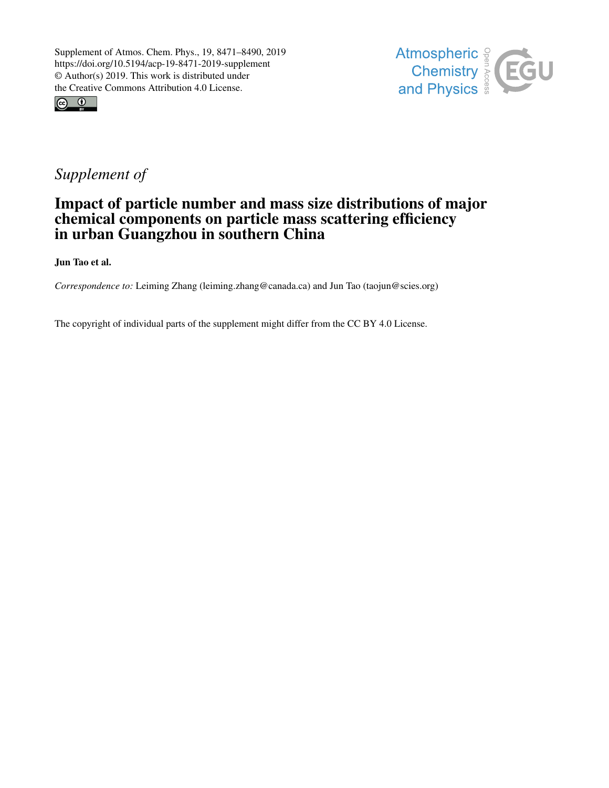



## *Supplement of*

## Impact of particle number and mass size distributions of major chemical components on particle mass scattering efficiency in urban Guangzhou in southern China

Jun Tao et al.

*Correspondence to:* Leiming Zhang (leiming.zhang@canada.ca) and Jun Tao (taojun@scies.org)

The copyright of individual parts of the supplement might differ from the CC BY 4.0 License.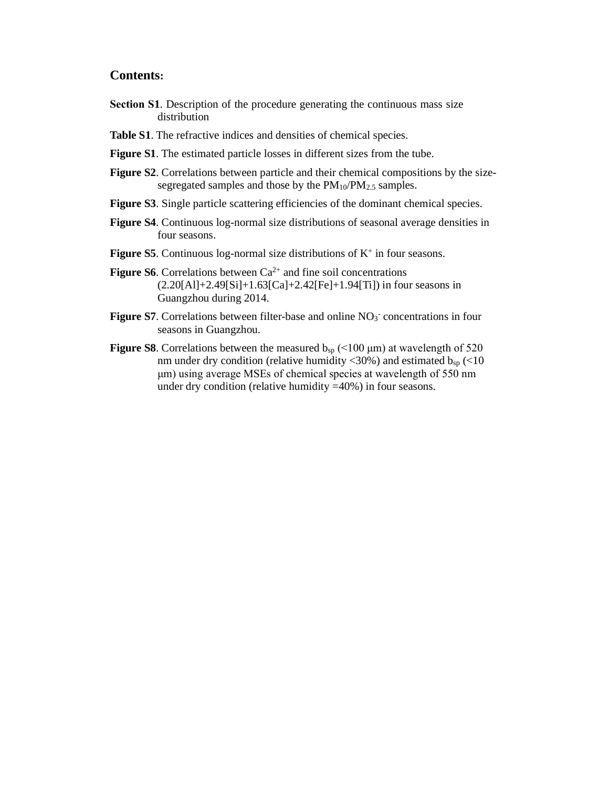## **Contents:**

- **Section S1**. Description of the procedure generating the continuous mass size distribution
- **Table S1**. The refractive indices and densities of chemical species.
- **Figure S1**. The estimated particle losses in different sizes from the tube.
- **Figure S2**. Correlations between particle and their chemical compositions by the sizesegregated samples and those by the  $PM_{10}/PM_{2.5}$  samples.
- **Figure S3**. Single particle scattering efficiencies of the dominant chemical species.
- **Figure S4**. Continuous log-normal size distributions of seasonal average densities in four seasons.
- **Figure S5**. Continuous log-normal size distributions of  $K^+$  in four seasons.
- **Figure S6.** Correlations between  $Ca^{2+}$  and fine soil concentrations  $(2.20[A1]+2.49[Si]+1.63[Ca]+2.42[Fe]+1.94[Ti])$  in four seasons in Guangzhou during 2014.
- Figure S7. Correlations between filter-base and online NO<sub>3</sub><sup>-</sup> concentrations in four seasons in Guangzhou.
- **Figure S8**. Correlations between the measured  $b_{sp}$  (<100  $\mu$ m) at wavelength of 520 nm under dry condition (relative humidity <30%) and estimated  $b_{sp}$  (<10 μm) using average MSEs of chemical species at wavelength of 550 nm under dry condition (relative humidity =40%) in four seasons.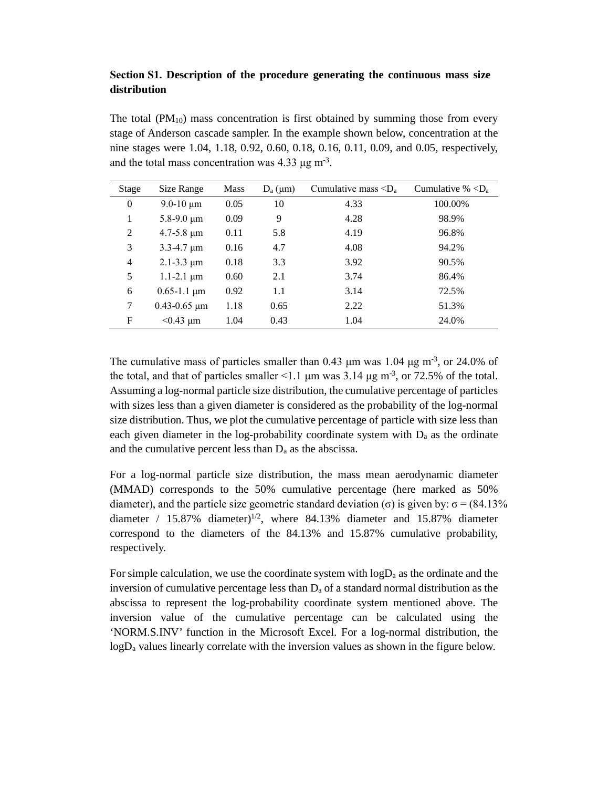## **Section S1. Description of the procedure generating the continuous mass size distribution**

The total  $(PM_{10})$  mass concentration is first obtained by summing those from every stage of Anderson cascade sampler. In the example shown below, concentration at the nine stages were 1.04, 1.18, 0.92, 0.60, 0.18, 0.16, 0.11, 0.09, and 0.05, respectively, and the total mass concentration was  $4.33 \,\mu g \, \text{m}^{-3}$ .

| Stage          | Size Range          | <b>Mass</b> | $D_a(\mu m)$ | Cumulative mass $\langle D_a \rangle$ | Cumulative % $\langle D_a$ |
|----------------|---------------------|-------------|--------------|---------------------------------------|----------------------------|
| $\mathbf{0}$   | $9.0 - 10 \mu m$    | 0.05        | 10           | 4.33                                  | 100.00%                    |
| 1              | $5.8 - 9.0 \mu m$   | 0.09        | 9            | 4.28                                  | 98.9%                      |
| 2              | $4.7 - 5.8 \mu m$   | 0.11        | 5.8          | 4.19                                  | 96.8%                      |
| 3              | $3.3 - 4.7 \mu m$   | 0.16        | 4.7          | 4.08                                  | 94.2%                      |
| $\overline{4}$ | $2.1 - 3.3 \mu m$   | 0.18        | 3.3          | 3.92                                  | 90.5%                      |
| 5              | $1.1 - 2.1 \mu m$   | 0.60        | 2.1          | 3.74                                  | 86.4%                      |
| 6              | $0.65 - 1.1 \mu m$  | 0.92        | 1.1          | 3.14                                  | 72.5%                      |
| 7              | $0.43 - 0.65 \mu m$ | 1.18        | 0.65         | 2.22                                  | 51.3%                      |
| F              | $< 0.43 \mu m$      | 1.04        | 0.43         | 1.04                                  | 24.0%                      |

The cumulative mass of particles smaller than 0.43  $\mu$ m was 1.04  $\mu$ g m<sup>-3</sup>, or 24.0% of the total, and that of particles smaller <1.1  $\mu$ m was 3.14  $\mu$ g m<sup>-3</sup>, or 72.5% of the total. Assuming a log-normal particle size distribution, the cumulative percentage of particles with sizes less than a given diameter is considered as the probability of the log-normal size distribution. Thus, we plot the cumulative percentage of particle with size less than each given diameter in the log-probability coordinate system with  $D<sub>a</sub>$  as the ordinate and the cumulative percent less than  $D_a$  as the abscissa.

For a log-normal particle size distribution, the mass mean aerodynamic diameter (MMAD) corresponds to the 50% cumulative percentage (here marked as 50% diameter), and the particle size geometric standard deviation (σ) is given by:  $\sigma = (84.13\%$ diameter /  $15.87\%$  diameter)<sup>1/2</sup>, where 84.13% diameter and 15.87% diameter correspond to the diameters of the 84.13% and 15.87% cumulative probability, respectively.

For simple calculation, we use the coordinate system with  $log D<sub>a</sub>$  as the ordinate and the inversion of cumulative percentage less than  $D_a$  of a standard normal distribution as the abscissa to represent the log-probability coordinate system mentioned above. The inversion value of the cumulative percentage can be calculated using the 'NORM.S.INV' function in the Microsoft Excel. For a log-normal distribution, the  $logD<sub>a</sub>$  values linearly correlate with the inversion values as shown in the figure below.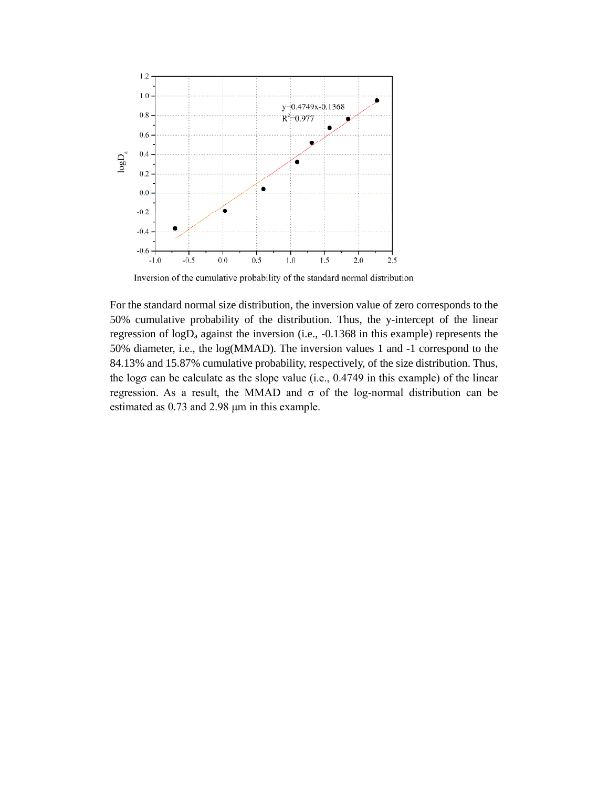

Inversion of the cumulative probability of the standard normal distribution

For the standard normal size distribution, the inversion value of zero corresponds to the 50% cumulative probability of the distribution. Thus, the y-intercept of the linear regression of logDa against the inversion (i.e., -0.1368 in this example) represents the 50% diameter, i.e., the log(MMAD). The inversion values 1 and -1 correspond to the 84.13% and 15.87% cumulative probability, respectively, of the size distribution. Thus, the logσ can be calculate as the slope value (i.e., 0.4749 in this example) of the linear regression. As a result, the MMAD and σ of the log-normal distribution can be estimated as 0.73 and 2.98 μm in this example.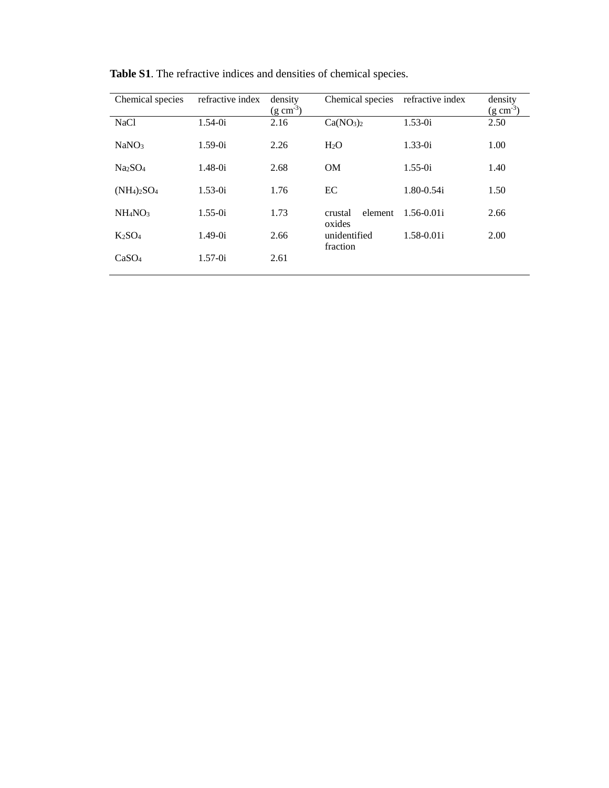| Chemical species                | refractive index | density<br>$(g \text{ cm}^{-3})$ | Chemical species                  | refractive index | density<br>$(g \text{ cm}^{-3})$ |
|---------------------------------|------------------|----------------------------------|-----------------------------------|------------------|----------------------------------|
| NaC <sub>1</sub>                | $1.54 - 0i$      | 2.16                             | Ca(NO <sub>3</sub> ) <sub>2</sub> | $1.53 - 0i$      | 2.50                             |
| NaNO <sub>3</sub>               | $1.59-0i$        | 2.26                             | H <sub>2</sub> O                  | $1.33 - 0i$      | 1.00                             |
| Na <sub>2</sub> SO <sub>4</sub> | $1.48 - 0i$      | 2.68                             | OM                                | $1.55 - 0i$      | 1.40                             |
| $(NH_4)_2SO_4$                  | $1.53 - 0i$      | 1.76                             | EC                                | $1.80 - 0.54i$   | 1.50                             |
| NH <sub>4</sub> NO <sub>3</sub> | $1.55 - 0i$      | 1.73                             | element<br>crustal<br>oxides      | $1.56 - 0.01i$   | 2.66                             |
| $K_2SO_4$                       | $1.49 - 0i$      | 2.66                             | unidentified<br>fraction          | $1.58 - 0.01i$   | 2.00                             |
| CaSO <sub>4</sub>               | $1.57 - 0i$      | 2.61                             |                                   |                  |                                  |

**Table S1**. The refractive indices and densities of chemical species.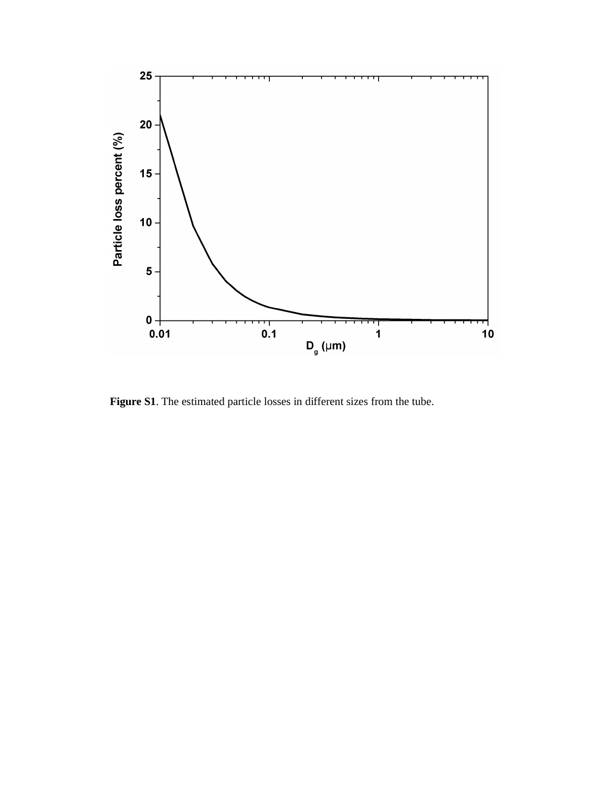

**Figure S1**. The estimated particle losses in different sizes from the tube.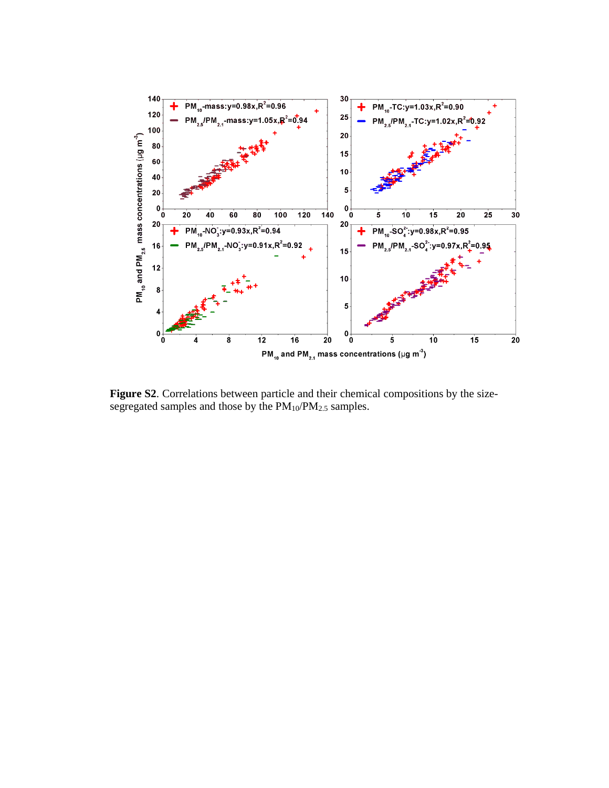

**Figure S2**. Correlations between particle and their chemical compositions by the sizesegregated samples and those by the PM<sub>10</sub>/PM<sub>2.5</sub> samples.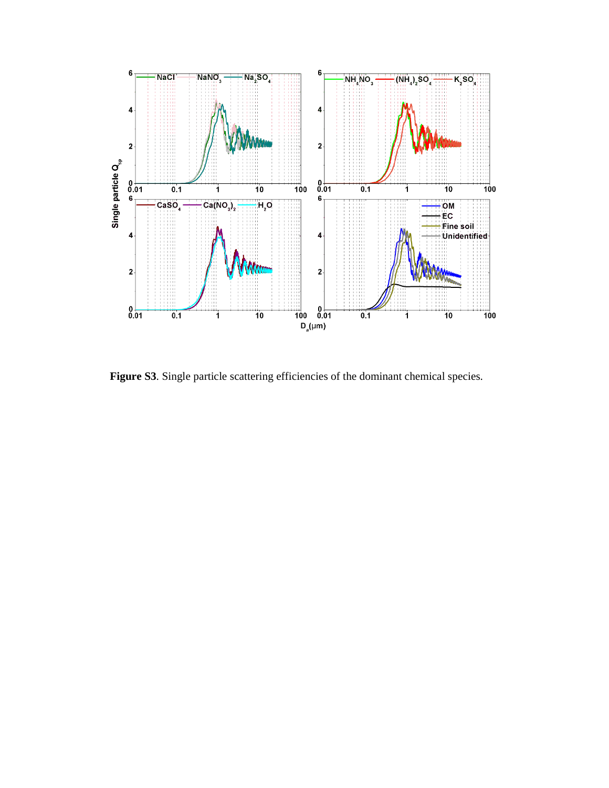

Figure S3. Single particle scattering efficiencies of the dominant chemical species.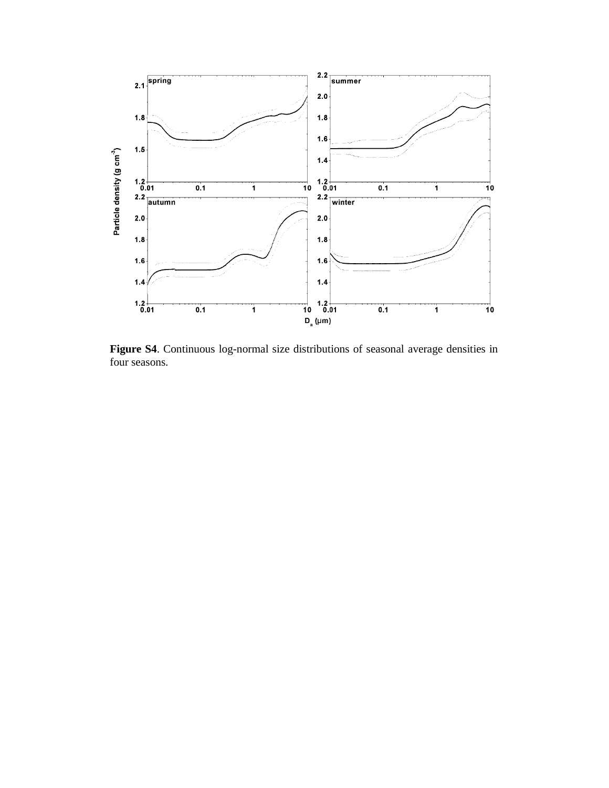

**Figure S4**. Continuous log-normal size distributions of seasonal average densities in four seasons.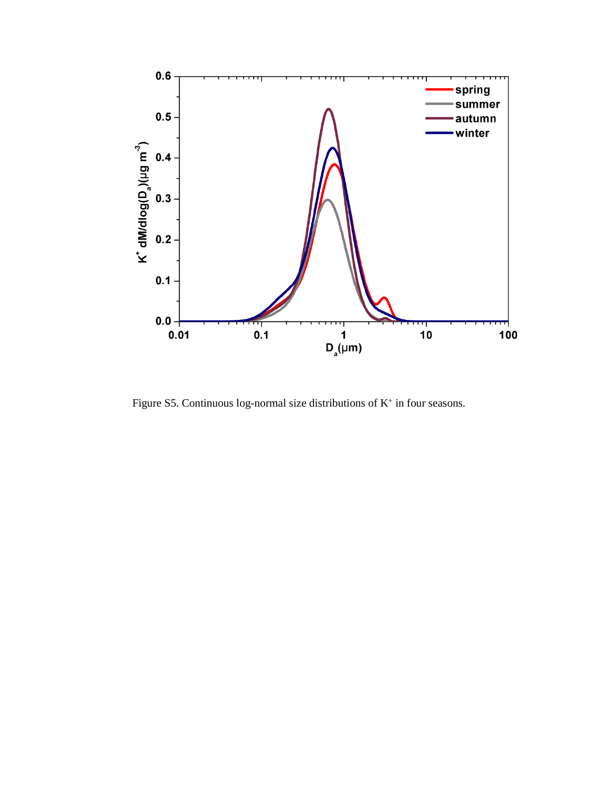

Figure S5. Continuous log-normal size distributions of  $K^+$  in four seasons.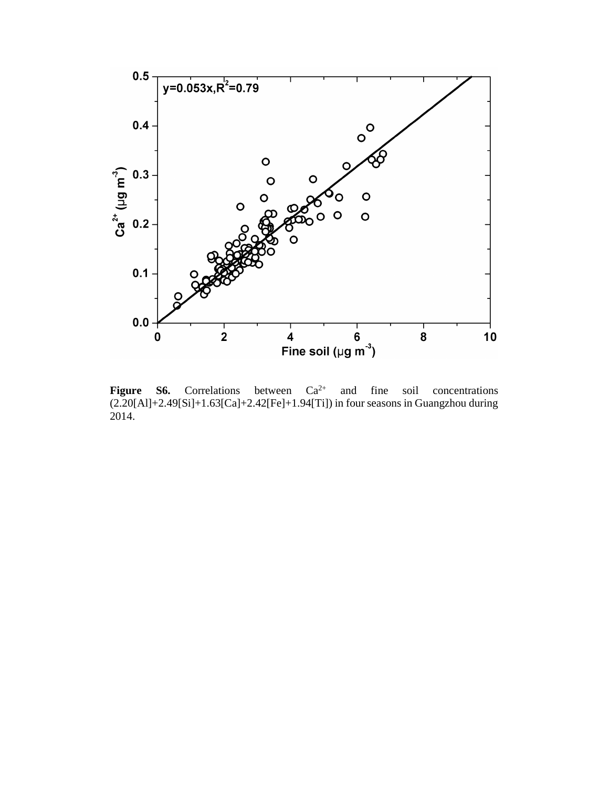

**Figure S6.** Correlations between  $Ca^{2+}$  and fine soil concentrations (2.20[Al]+2.49[Si]+1.63[Ca]+2.42[Fe]+1.94[Ti]) in four seasons in Guangzhou during 2014.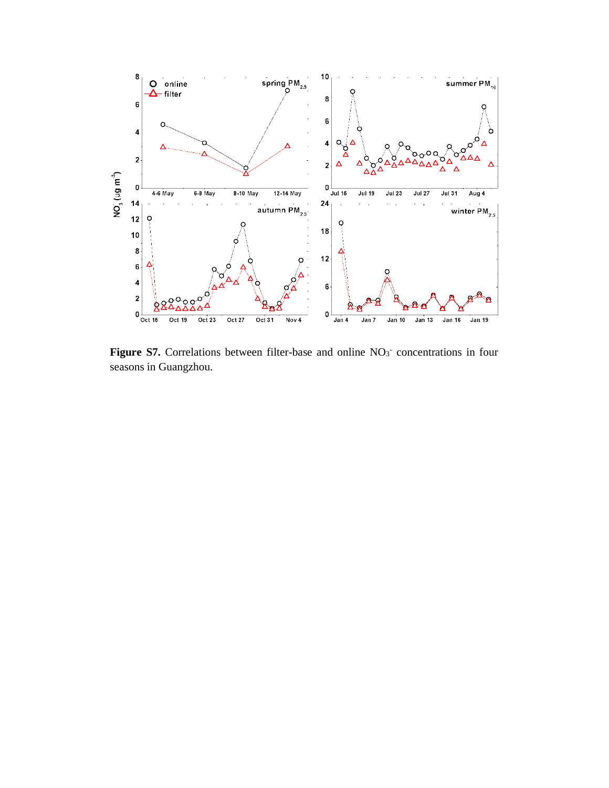

Figure S7. Correlations between filter-base and online NO<sub>3</sub> concentrations in four seasons in Guangzhou.